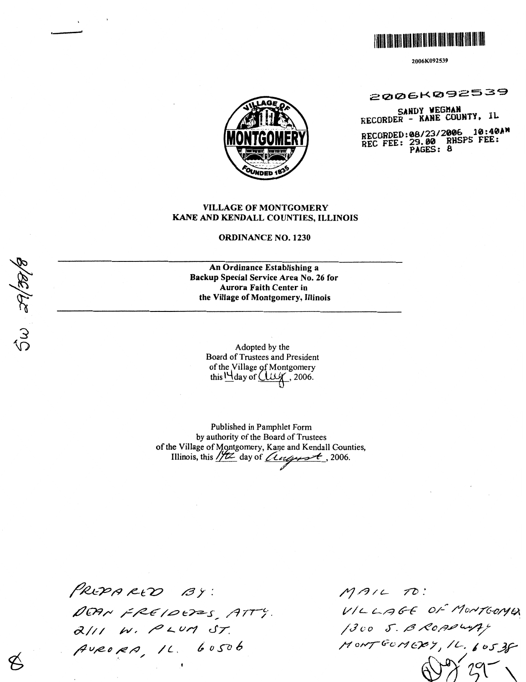

2006K092539

2006K092539

SANDY WEGHAN<br>RECORDER - KANE COUNTY, IL

RECORDED:08/23/2006 10:40AM<br>REC FEE: 29.00 RHSPS FEE:<br>PAGES: 8



# **VILLAGE OF MONTGOMERY** KANE AND KENDALL COUNTIES, ILLINOIS

## **ORDINANCE NO. 1230**

An Ordinance Establishing a Backup Special Service Area No. 26 for Aurora Faith Center in the Village of Montgomery, Illinois

> Adopted by the Board of Trustees and President of the Village of Montgomery this  $M_{\text{day of}}$  ( $M_{\text{day}}$ , 2006.

Published in Pamphlet Form by authority of the Board of Trustees of the Village of Montgomery, Kane and Kendall Counties, Illinois, this  $1/tz$  day of *Composet*, 2006.

PREPARED BY: DEAN FREIDEDES, ATTY. AURORA, 1L. 60506

 $MAL$  TO: VILLAGE OF MONTGONA MONTGOMERY, 1L. 60538

 $5\omega$  at/38/t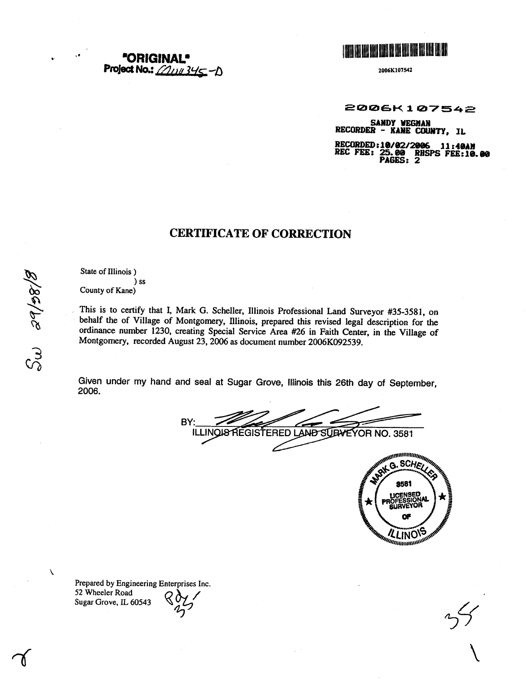**\*ORIGIN/** Project No.:  $\angle 2114345 - D$ 



2006K107542

2006K107542

SANDY WEGMAN<br>RECORDER - KANE COUNTY, IL

RECORDED:10/02/2006 11:40AM<br>REC FEE: 25.00 RHSPS FEE:10.00<br>PAGES: 2

# **CERTIFICATE OF CORRECTION**

State of Illinois)

 $)$  ss County of Kane)

This is to certify that I, Mark G. Scheller, Illinois Professional Land Surveyor #35-3581, on behalf the of Village of Montgomery, Illinois, prepared this revised legal description for the ordinance number 1230, creating Special Service Area #26 in Faith Center, in the Village of Montgomery, recorded August 23, 2006 as document number 2006K092539.

Given under my hand and seal at Sugar Grove, Illinois this 26th day of September, 2006.

BY: ILLINOIS REGISTERED LAND SUBVEYOR NO. 3581



Prepared by Engineering Enterprises Inc. 52 Wheeler Road Sugar Grove, IL 60543

Sw sapor

 $\lambda$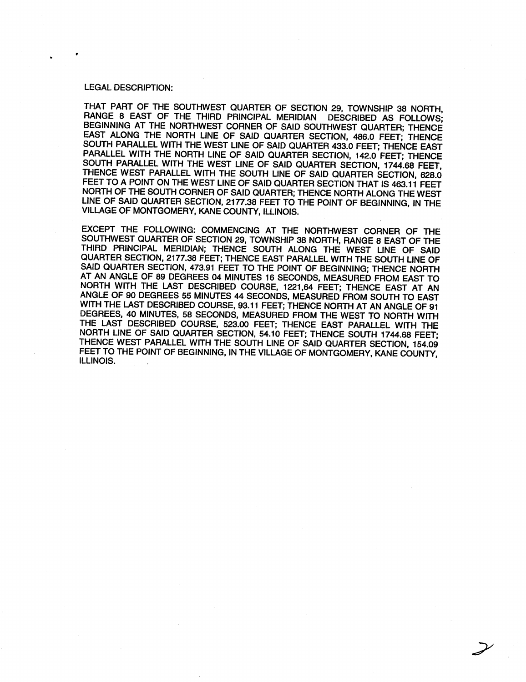#### **LEGAL DESCRIPTION:**

THAT PART OF THE SOUTHWEST QUARTER OF SECTION 29, TOWNSHIP 38 NORTH, RANGE 8 EAST OF THE THIRD PRINCIPAL MERIDIAN DESCRIBED AS FOLLOWS: BEGINNING AT THE NORTHWEST CORNER OF SAID SOUTHWEST QUARTER; THENCE EAST ALONG THE NORTH LINE OF SAID QUARTER SECTION, 486.0 FEET; THENCE SOUTH PARALLEL WITH THE WEST LINE OF SAID QUARTER 433.0 FEET; THENCE EAST PARALLEL WITH THE NORTH LINE OF SAID QUARTER SECTION, 142.0 FEET; THENCE SOUTH PARALLEL WITH THE WEST LINE OF SAID QUARTER SECTION, 1744.68 FEET, THENCE WEST PARALLEL WITH THE SOUTH LINE OF SAID QUARTER SECTION, 628.0 FEET TO A POINT ON THE WEST LINE OF SAID QUARTER SECTION THAT IS 463.11 FEET NORTH OF THE SOUTH CORNER OF SAID QUARTER; THENCE NORTH ALONG THE WEST LINE OF SAID QUARTER SECTION, 2177.38 FEET TO THE POINT OF BEGINNING, IN THE VILLAGE OF MONTGOMERY, KANE COUNTY, ILLINOIS.

EXCEPT THE FOLLOWING: COMMENCING AT THE NORTHWEST CORNER OF THE SOUTHWEST QUARTER OF SECTION 29, TOWNSHIP 38 NORTH, RANGE 8 EAST OF THE THIRD PRINCIPAL MERIDIAN; THENCE SOUTH ALONG THE WEST LINE OF SAID QUARTER SECTION, 2177.38 FEET; THENCE EAST PARALLEL WITH THE SOUTH LINE OF SAID QUARTER SECTION, 473.91 FEET TO THE POINT OF BEGINNING; THENCE NORTH AT AN ANGLE OF 89 DEGREES 04 MINUTES 16 SECONDS, MEASURED FROM EAST TO NORTH WITH THE LAST DESCRIBED COURSE, 1221,64 FEET; THENCE EAST AT AN ANGLE OF 90 DEGREES 55 MINUTES 44 SECONDS, MEASURED FROM SOUTH TO EAST WITH THE LAST DESCRIBED COURSE, 93.11 FEET; THENCE NORTH AT AN ANGLE OF 91 DEGREES, 40 MINUTES, 58 SECONDS, MEASURED FROM THE WEST TO NORTH WITH THE LAST DESCRIBED COURSE, 523.00 FEET; THENCE EAST PARALLEL WITH THE NORTH LINE OF SAID QUARTER SECTION, 54.10 FEET; THENCE SOUTH 1744.68 FEET; THENCE WEST PARALLEL WITH THE SOUTH LINE OF SAID QUARTER SECTION, 154.09 FEET TO THE POINT OF BEGINNING. IN THE VILLAGE OF MONTGOMERY, KANE COUNTY. ILLINOIS.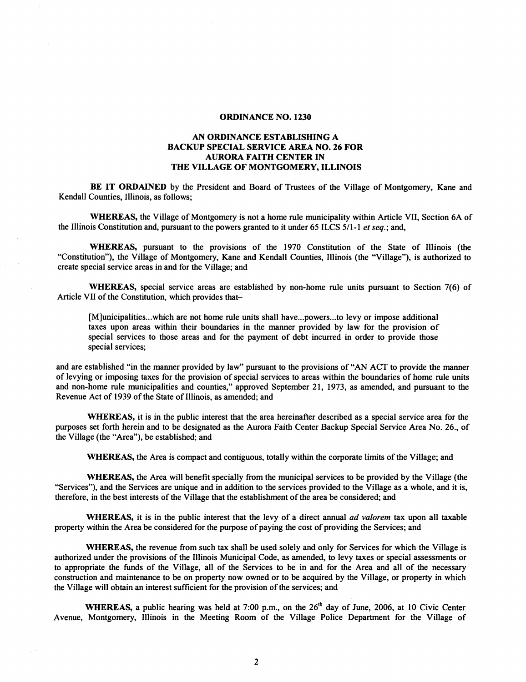#### **ORDINANCE NO. 1230**

# **AN ORDINANCE ESTABLISHING A BACKUP SPECIAL SERVICE AREA NO. 26 FOR AURORA FAITH CENTER IN THE VILLAGE OF MONTGOMERY, ILLINOIS**

**BE IT ORDAINED** by the President and Board of Trustees of the Village of Montgomery, Kane and Kendall Counties, Illinois, as follows;

**WHEREAS,** the Village of Montgomery is not a home rule municipality within Article VII, Section 6A of the Illinois Constitution and, pursuant to the powers granted to it under 65 ILCS  $5/1$ -1 *et seq.*; and,

**WHEREAS,** pursuant to the provisions of the 1970 Constitution of the State of Illinois (the "Constitution"), the Village of Montgomery, Kane and Kendall Counties, Illinois (the "Village"), is authorized to create special service areas in and for the Village; and

**WHEREAS,** special service areas are established by non-home rule units pursuant to Section 7(6) of Article VII of the Constitution, which provides that-

[M]unicipalities...which are not home rule units shall have...powers...to levy or impose additional taxes upon areas within their boundaries in the manner provided by law for the provision of special services to those areas and for the payment of debt incurred in order to provide those special services;

and are established "in the manner provided by law" pursuant to the provisions of "AN ACT to provide the manner of levying or imposing taxes for the provision of special services to areas within the boundaries of home rule units and non-home rule municipalities and counties," approved September 21, 1973, as amended, and pursuant to the Revenue Act of 1939 of the State of Illinois, as amended; and

**WHEREAS,** it is in the public interest that the area hereinafter described as a special service area for the purposes set forth herein and to be designated as the Aurora Faith Center Backup Special Service Area No. 26., of the Village (the "Area"), be established; and

**WHEREAS,** the Area is compact and contiguous, totally within the corporate limits of the Village; and

**WHEREAS,** the Area will benefit specially from the municipal services to be provided by the Village (the "Services"), and the Services are unique and in addition to the services provided to the Village as a whole, and it is, therefore, in the best interests of the Village that the establishment of the area be considered; and

WHEREAS, it is in the public interest that the levy of a direct annual *ad valorem* tax upon all taxable property within the Area be considered for the purpose of paying the cost of providing the Services; and

**WHEREAS,** the revenue from such tax shall be used solely and only for Services for which the Village is authorized under the provisions of the Illinois Municipal Code, as amended, to levy taxes or special assessments or to appropriate the funds of the Village, all of the Services to be in and for the Area and all of the necessary construction and maintenance to be on property now owned or to be acquired by the Village, or property in which the Village will obtain an interest sufficient for the provision of the services; and

WHEREAS, a public hearing was held at 7:00 p.m., on the 26<sup>th</sup> day of June, 2006, at 10 Civic Center Avenue, Montgomery, Illinois in the Meeting Room of the Village Police Department for the Village of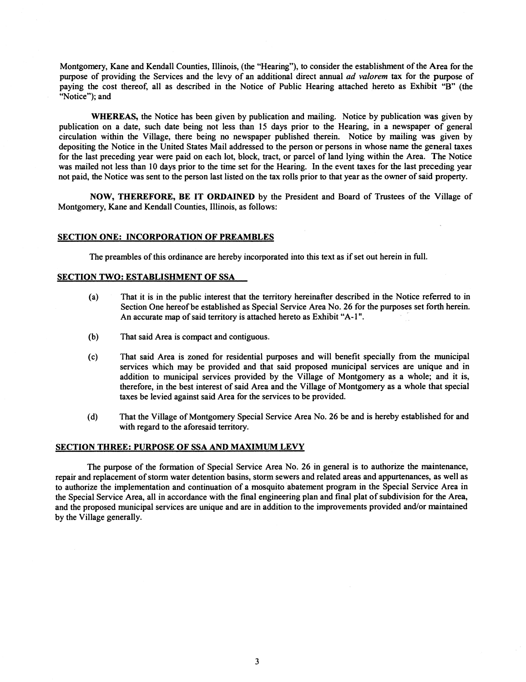Montgomery, Kane and Kendall Counties, Illinois, (the "Hearing"), to consider the establishment of the Area for the purpose of providing the Services and the levy of an additional direct annual ad valorem tax for the purpose of paying the cost thereof, all as described in the Notice of Public Hearing attached hereto as Exhibit "B" (the "Notice"); and

**WHEREAS,** the Notice has been given by publication and mailing. Notice by publication was given by publication on a date, such date being not less than 15 days prior to the Hearing, in a newspaper of general circulation within the Village, there being no newspaper published therein. Notice by mailing was given by depositing the Notice in the United States Mail addressed to the person or persons in whose name the general taxes for the last preceding year were paid on each lot, block, tract, or parcel of land lying within the Area. The Notice was mailed not less than 10 days prior to the time set for the Hearing. In the event taxes for the last preceding year not paid, the Notice was sent to the person last listed on the tax rolls prior to that year as the owner of said property.

**NOW, THEREFORE, BE IT ORDAINED** by the President and Board of Trustees of the Village of Montgomery, Kane and Kendall Counties, Illinois, as follows:

#### **SECTION ONE: INCORPORATION OF PREAMBLES**

The preambles of this ordinance are hereby incorporated into this text as if set out herein in full.

#### **SECTION TWO: ESTABLISHMENT OF SSA**

- (a) That it is in the public interest that the territory hereinafter described in the Notice referred to in Section One hereof be established as Special Service Area No. 26 for the purposes set forth herein. An accurate map of said territory is attached hereto as Exhibit "A- **1** ".
- (b) That said Area is compact and contiguous.
- (c) That said Area is zoned for residential purposes and will benefit specially from the municipal services which may be provided and that said proposed municipal services are unique and in addition to municipal services provided by the Village of Montgomery as a whole; and it is, therefore, in the best interest of said Area and the Village of Montgomery as a whole that special taxes be levied against said Area for the services to be provided.
- (d) That the Village of Montgomery Special Service Area No. 26 be and is hereby established for and with regard to the aforesaid territory.

#### **SECTION THREE: PURPOSE OF SSA AND MAXIMUM LEVY**

The purpose of the formation of Special Service Area No. 26 in general is to authorize the maintenance, repair and replacement of storm water detention basins, storm sewers and related areas and appurtenances, as well as to authorize the implementation and continuation of a mosquito abatement program in the Special Service Area in the Special Service Area, all in accordance with the final engineering plan and final plat of subdivision for the Area, and the proposed municipal services are unique and are in addition to the improvements provided and/or maintained by the Village generally.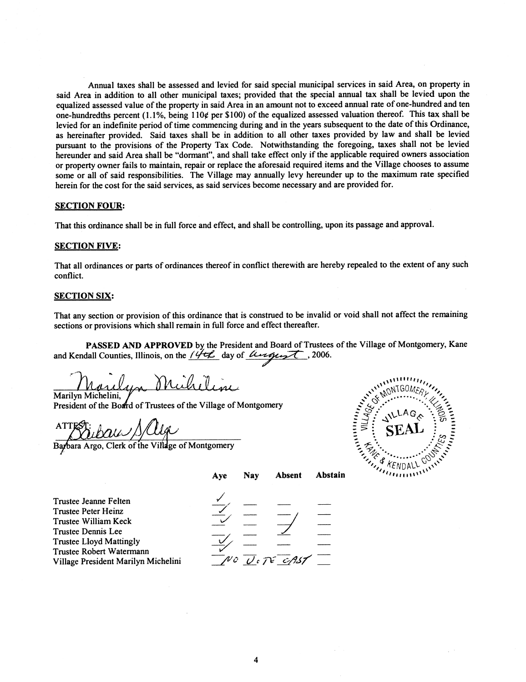Annual taxes shall be assessed and levied for said special municipal services in said Area, on property in said Area in addition to all other municipal taxes; provided that the special annual tax shall be levied upon the equalized assessed value of the property in said Area in an amount not to exceed annual rate of one-hundred and ten one-hundredths percent (1.1%, being 110¢ per \$100) of the equalized assessed valuation thereof. This tax shall be levied for an indefinite period of time commencing during and in the years subsequent to the date of this Ordinance, as hereinafter provided. Said taxes shall be in addition to all other taxes provided by law and shall be levied pursuant to the provisions of the Property Tax Code. Notwithstanding the foregoing, taxes shall not be levied hereunder and said Area shall be "dormant", and shall take effect only if the applicable required owners association or property owner fails to maintain, repair or replace the aforesaid required items and the Village chooses to assume some or all of said responsibilities. The Village may annually levy hereunder up to the maximum rate specified herein for the cost for the said services, as said services become necessary and are provided for.

#### **SECTION FOUR:**

That this ordinance shall be in full force and effect, and shall be controlling, upon its passage and approval.

#### **SECTION FIVE:**

That all ordinances or parts of ordinances thereof in conflict therewith are hereby repealed to the extent of any such conflict.

### **SECTION SIX:**

That any section or provision of this ordinance that is construed to be invalid or void shall not affect the remaining sections or provisions which shall remain in full force and effect thereafter.

PASSED AND APPROVED by the President and Board of Trustees of the Village of Montgomery, Kane and Kendall Counties, Illinois, on the  $14\pi$  day of *lenguest*, 2006.

n Micheline Marilyn Michelini,

President of the Board of Trustees of the Village of Montgomery

ATTEST:<br>Barbara Argo, Clerk of the Village of Montgomery



|                                                                                                                                                                                                 | Aye | <b>Nav</b> | <b>Absent</b> | Abstain | $\mathcal{L}_{\mathcal{F}}$ |
|-------------------------------------------------------------------------------------------------------------------------------------------------------------------------------------------------|-----|------------|---------------|---------|-----------------------------|
| Trustee Jeanne Felten<br>Trustee Peter Heinz<br>Trustee William Keck<br>Trustee Dennis Lee<br><b>Trustee Lloyd Mattingly</b><br>Trustee Robert Watermann<br>Village President Marilyn Michelini |     |            | NO VITE CAST  |         |                             |
|                                                                                                                                                                                                 |     |            |               |         |                             |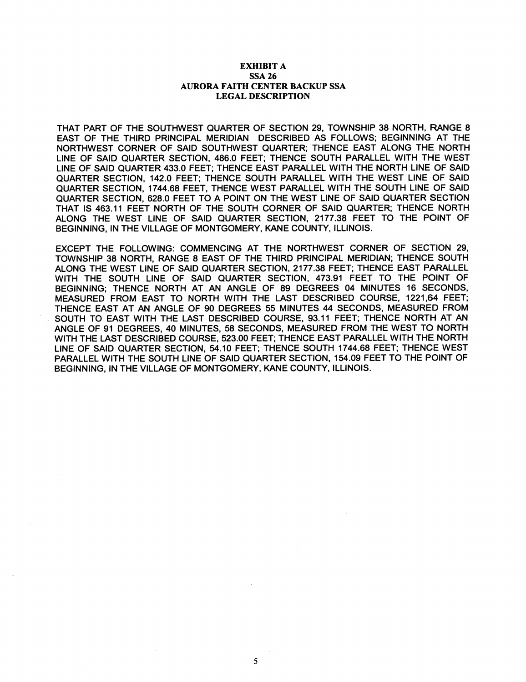## **EXHIBIT A SSA 26 AURORA FAITH CENTER BACKUP SSA LEGAL DESCRIPTION**

THAT PART OF THE SOUTHWEST QUARTER OF SECTION **29,** TOWNSHIP **38** NORTH, RANGE **8**  EAST OF THE THIRD PRINCIPAL MERIDIAN DESCRIBED AS FOLLOWS; BEGINNING AT THE NORTHWEST CORNER OF SAlD SOUTHWEST QUARTER; THENCE EAST ALONG THE NORTH LlNE OF SAlD QUARTER SECTION, **486.0** FEET; THENCE SOUTH PARALLEL WlTH THE WEST LlNE OF SAlD QUARTER **433.0** FEET; THENCE EAST PARALLEL WlTH THE NORTH LlNE OF SAlD QUARTER SECTION, **142.0** FEET; THENCE SOUTH PARALLEL WlTH THE WEST LlNE OF SAlD QUARTER SECTION, **1744.68** FEET, THENCE WEST PARALLEL WlTH THE SOUTH LlNE OF SAlD QUARTER SECTION, **628.0** FEET TO A POINT ON THE WEST LlNE OF SAlD QUARTER SECTION THAT IS **463.11** FEET NORTH OF THE SOUTH CORNER OF SAlD QUARTER; THENCE NORTH ALONG THE WEST LlNE OF SAlD QUARTER SECTION, **2177.38** FEET TO THE POINT OF BEGINNING, IN THE VILLAGE OF MONTGOMERY, KANE COUNTY, ILLINOIS.

EXCEPT THE FOLLOWING: COMMENCING AT THE NORTHWEST CORNER OF SECTION **29,**  TOWNSHIP **38** NORTH, RANGE **8** EAST OF THE THIRD PRINCIPAL MERIDIAN; THENCE SOUTH ALONG THE WEST LlNE OF SAlD QUARTER SECTION, **2177.38** FEET; THENCE EAST PARALLEL WlTH THE SOUTH LlNE OF SAlD QUARTER SECTION, **473.91** FEET TO THE POINT OF BEGINNING; THENCE NORTH AT AN ANGLE OF **89** DEGREES **04** MINUTES **16** SECONDS, MEASURED FROM EAST TO NORTH WlTH THE LAST DESCRIBED COURSE, **1221,64** FEET; THENCE EAST AT AN ANGLE OF **90** DEGREES **55** MINUTES **44** SECONDS, MEASURED FROM SOUTH TO EAST WlTH THE LAST DESCRIBED COURSE, **93.11** FEET; THENCE NORTH AT AN ANGLE OF **91** DEGREES, **40** MINUTES, **58** SECONDS, MEASURED FROM THE WEST TO NORTH WlTH THE LAST DESCRIBED COURSE, **523.00** FEET; THENCE EAST PARALLEL WlTH THE NORTH LlNE OF SAlD QUARTER SECTION, **54.10** FEET; THENCE SOUTH **1744.68** FEET; THENCE WEST PARALLEL WlTH THE SOUTH LlNE OF SAlD QUARTER SECTION, **154.09** FEET TO THE POINT OF BEGINNING, IN THE VILLAGE OF MONTGOMERY, KANE COUNTY, ILLINOIS.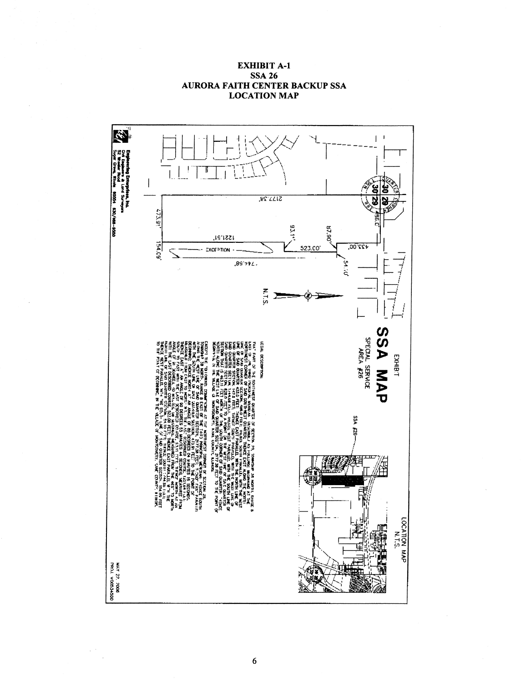

# **EXHIBIT A-1 SSA 26 AURORA FAITH CENTER BACKUP SSA LOCATION MAP**

 $\sim$   $^{-1}$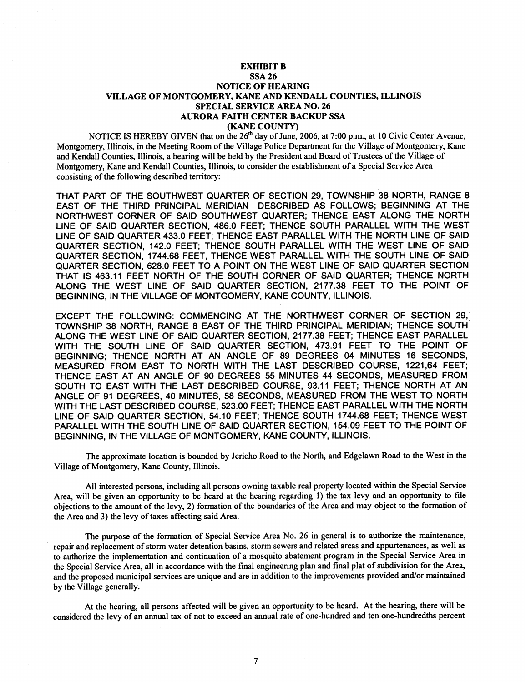#### **EXHIBIT B**

## **SSA 26 NOTICE OF HEARING VILLAGE OF MONTGOMERY, KANE AND KENDALL COUNTIES, ILLINOIS SPECIAL SERVICE AREA NO. 26 AURORA FAITH CENTER BACKUP SSA (KANE COUNTY)**

NOTICE IS HEREBY GIVEN that on the **26"** day of June, **2006,** at **7:00** p.m., at **10** Civic Center Avenue, Montgomery, Illinois, in the Meeting Room of the Village Police Department for the Village of Montgomery, Kane and Kendall Counties, Illinois, a hearing will be held by the President and Board of Trustees of the Village of Montgomery, Kane and Kendall Counties, Illinois, to consider the establishment of a Special Service Area consisting of the following described territory:

THAT PART OF THE SOUTHWEST QUARTER OF SECTION **29,** TOWNSHIP **38** NORTH, RANGE **8**  EAST OF THE THIRD PRINCIPAL MERIDIAN DESCRIBED AS FOLLOWS; BEGINNING AT THE NORTHWEST CORNER OF SAlD SOUTHWEST QUARTER; THENCE EAST ALONG THE NORTH LlNE OF SAlD QUARTER SECTION, **486.0** FEET; THENCE SOUTH PARALLEL WlTH THE WEST LlNE OF SAlD QUARTER **433.0** FEET; THENCE EAST PARALLEL WlTH THE NORTH LlNE OF SAlD QUARTER SECTION, **142.0** FEET; THENCE SOUTH PARALLEL WlTH THE WEST LlNE OF SAlD QUARTER SECTION, **1744.68** FEET, THENCE WEST PARALLEL WlTH THE SOUTH LlNE OF SAlD QUARTER SECTION, **628.0** FEET TO A POINT ON THE WEST LlNE OF SAlD QUARTER SECTION THAT IS **463.11** FEET NORTH OF THE SOUTH CORNER OF SAlD QUARTER; THENCE NORTH ALONG THE WEST LlNE OF SAlD QUARTER SECTION, **2177.38** FEET TO THE POINT OF BEGINNING, IN THE VILLAGE OF MONTGOMERY, KANE COUNTY, ILLINOIS.

EXCEPT THE FOLLOWING: COMMENCING AT THE NORTHWEST CORNER OF SECTION **29,**  TOWNSHIP **38** NORTH, RANGE **8** EAST OF THE THIRD PRINCIPAL MERIDIAN; THENCE SOUTH ALONG THE WEST LlNE OF SAlD QUARTER SECTION, **2177.38** FEET; THENCE EAST PARALLEL WlTH THE SOUTH LlNE OF SAlD QUARTER SECTION, **473.91** FEET TO THE POINT OF BEGINNING; THENCE NORTH AT AN ANGLE OF **89** DEGREES **04** MINUTES **16** SECONDS, MEASURED FROM EAST TO NORTH WlTH THE LAST DESCRIBED COURSE, **1221,64** FEET; THENCE EAST AT AN ANGLE OF **90** DEGREES **55** MINUTES **44** SECONDS, MEASURED FROM SOUTH TO EAST WlTH THE LAST DESCRIBED COURSE, **93.11** FEET; THENCE NORTH AT AN ANGLE OF **91** DEGREES, **40** MINUTES, **58** SECONDS, MEASURED FROM THE WEST TO NORTH WlTH THE LAST DESCRIBED COURSE, **523.00** FEET; THENCE EAST PARALLEL WlTH THE NORTH LlNE OF SAlD QUARTER SECTION, **54.10** FEET; THENCE SOUTH **1744.68** FEET; THENCE WEST PARALLEL WlTH THE SOUTH LlNE OF SAlD QUARTER SECTION, **154.09** FEET TO THE POINT OF BEGINNING, IN THE VILLAGE OF MONTGOMERY, KANE COUNTY, ILLINOIS.

The approximate location is bounded by Jericho Road to the North, and Edgelawn Road to the West in the Village of Montgomery, Kane County, Illinois.

All interested persons, including all persons owning taxable real property located within the Special Service Area, will be given an opportunity to be heard at the hearing regarding 1) the tax levy and an opportunity to file objections to the amount of the levy, **2)** formation of the boundaries of the Area and may object to the formation of the Area and **3)** the levy of taxes affecting said Area.

The purpose of the formation of Special Service Area No. **26** in general is to authorize the maintenance, repair and replacement of storm water detention basins, storm sewers and related areas and appurtenances, as well as to authorize the implementation and continuation of a mosquito abatement program in the Special Service Area in the Special Service Area, all in accordance with the final engineering plan and final plat of subdivision for the Area, and the proposed municipal services are unique and are in addition to the improvements provided and/or maintained by the Village generally.

At the hearing, all persons affected will be given an opportunity to be heard. At the hearing, there will be considered the levy of an annual tax of not to exceed an annual rate of one-hundred and ten one-hundredths percent